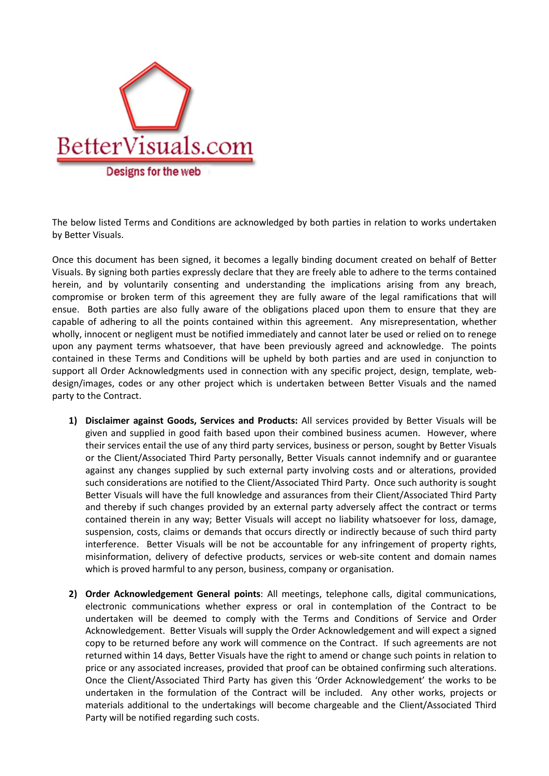

The below listed Terms and Conditions are acknowledged by both parties in relation to works undertaken by Better Visuals.

Once this document has been signed, it becomes a legally binding document created on behalf of Better Visuals. By signing both parties expressly declare that they are freely able to adhere to the terms contained herein, and by voluntarily consenting and understanding the implications arising from any breach, compromise or broken term of this agreement they are fully aware of the legal ramifications that will ensue. Both parties are also fully aware of the obligations placed upon them to ensure that they are capable of adhering to all the points contained within this agreement. Any misrepresentation, whether wholly, innocent or negligent must be notified immediately and cannot later be used or relied on to renege upon any payment terms whatsoever, that have been previously agreed and acknowledge. The points contained in these Terms and Conditions will be upheld by both parties and are used in conjunction to support all Order Acknowledgments used in connection with any specific project, design, template, webdesign/images, codes or any other project which is undertaken between Better Visuals and the named party to the Contract.

- **1) Disclaimer against Goods, Services and Products:** All services provided by Better Visuals will be given and supplied in good faith based upon their combined business acumen. However, where their services entail the use of any third party services, business or person, sought by Better Visuals or the Client/Associated Third Party personally, Better Visuals cannot indemnify and or guarantee against any changes supplied by such external party involving costs and or alterations, provided such considerations are notified to the Client/Associated Third Party. Once such authority is sought Better Visuals will have the full knowledge and assurances from their Client/Associated Third Party and thereby if such changes provided by an external party adversely affect the contract or terms contained therein in any way; Better Visuals will accept no liability whatsoever for loss, damage, suspension, costs, claims or demands that occurs directly or indirectly because of such third party interference. Better Visuals will be not be accountable for any infringement of property rights, misinformation, delivery of defective products, services or web-site content and domain names which is proved harmful to any person, business, company or organisation.
- **2) Order Acknowledgement General points**: All meetings, telephone calls, digital communications, electronic communications whether express or oral in contemplation of the Contract to be undertaken will be deemed to comply with the Terms and Conditions of Service and Order Acknowledgement. Better Visuals will supply the Order Acknowledgement and will expect a signed copy to be returned before any work will commence on the Contract. If such agreements are not returned within 14 days, Better Visuals have the right to amend or change such points in relation to price or any associated increases, provided that proof can be obtained confirming such alterations. Once the Client/Associated Third Party has given this 'Order Acknowledgement' the works to be undertaken in the formulation of the Contract will be included. Any other works, projects or materials additional to the undertakings will become chargeable and the Client/Associated Third Party will be notified regarding such costs.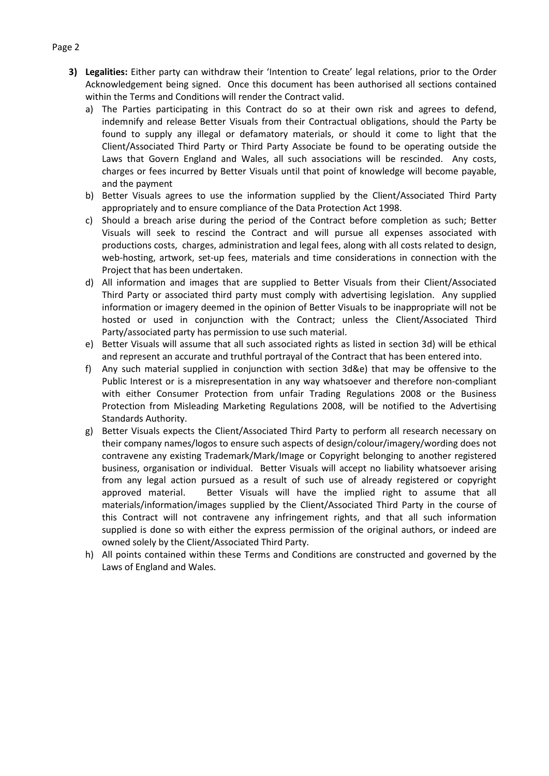- **3) Legalities:** Either party can withdraw their 'Intention to Create' legal relations, prior to the Order Acknowledgement being signed. Once this document has been authorised all sections contained within the Terms and Conditions will render the Contract valid.
	- a) The Parties participating in this Contract do so at their own risk and agrees to defend, indemnify and release Better Visuals from their Contractual obligations, should the Party be found to supply any illegal or defamatory materials, or should it come to light that the Client/Associated Third Party or Third Party Associate be found to be operating outside the Laws that Govern England and Wales, all such associations will be rescinded. Any costs, charges or fees incurred by Better Visuals until that point of knowledge will become payable, and the payment
	- b) Better Visuals agrees to use the information supplied by the Client/Associated Third Party appropriately and to ensure compliance of the Data Protection Act 1998.
	- c) Should a breach arise during the period of the Contract before completion as such; Better Visuals will seek to rescind the Contract and will pursue all expenses associated with productions costs, charges, administration and legal fees, along with all costs related to design, web-hosting, artwork, set-up fees, materials and time considerations in connection with the Project that has been undertaken.
	- d) All information and images that are supplied to Better Visuals from their Client/Associated Third Party or associated third party must comply with advertising legislation. Any supplied information or imagery deemed in the opinion of Better Visuals to be inappropriate will not be hosted or used in conjunction with the Contract; unless the Client/Associated Third Party/associated party has permission to use such material.
	- e) Better Visuals will assume that all such associated rights as listed in section 3d) will be ethical and represent an accurate and truthful portrayal of the Contract that has been entered into.
	- f) Any such material supplied in conjunction with section 3d&e) that may be offensive to the Public Interest or is a misrepresentation in any way whatsoever and therefore non-compliant with either Consumer Protection from unfair Trading Regulations 2008 or the Business Protection from Misleading Marketing Regulations 2008, will be notified to the Advertising Standards Authority.
	- g) Better Visuals expects the Client/Associated Third Party to perform all research necessary on their company names/logos to ensure such aspects of design/colour/imagery/wording does not contravene any existing Trademark/Mark/Image or Copyright belonging to another registered business, organisation or individual. Better Visuals will accept no liability whatsoever arising from any legal action pursued as a result of such use of already registered or copyright approved material. Better Visuals will have the implied right to assume that all materials/information/images supplied by the Client/Associated Third Party in the course of this Contract will not contravene any infringement rights, and that all such information supplied is done so with either the express permission of the original authors, or indeed are owned solely by the Client/Associated Third Party.
	- h) All points contained within these Terms and Conditions are constructed and governed by the Laws of England and Wales.

## Page 2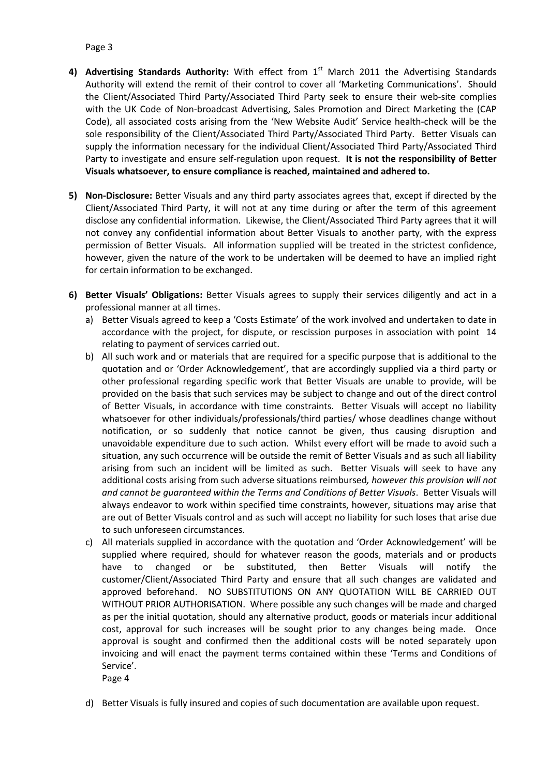## Page 3

- 4) Advertising Standards Authority: With effect from 1<sup>st</sup> March 2011 the Advertising Standards Authority will extend the remit of their control to cover all 'Marketing Communications'. Should the Client/Associated Third Party/Associated Third Party seek to ensure their web-site complies with the UK Code of Non-broadcast Advertising, Sales Promotion and Direct Marketing the (CAP Code), all associated costs arising from the 'New Website Audit' Service health-check will be the sole responsibility of the Client/Associated Third Party/Associated Third Party. Better Visuals can supply the information necessary for the individual Client/Associated Third Party/Associated Third Party to investigate and ensure self-regulation upon request. **It is not the responsibility of Better Visuals whatsoever, to ensure compliance is reached, maintained and adhered to.**
- **5) Non-Disclosure:** Better Visuals and any third party associates agrees that, except if directed by the Client/Associated Third Party, it will not at any time during or after the term of this agreement disclose any confidential information. Likewise, the Client/Associated Third Party agrees that it will not convey any confidential information about Better Visuals to another party, with the express permission of Better Visuals. All information supplied will be treated in the strictest confidence, however, given the nature of the work to be undertaken will be deemed to have an implied right for certain information to be exchanged.
- **6) Better Visuals' Obligations:** Better Visuals agrees to supply their services diligently and act in a professional manner at all times.
	- a) Better Visuals agreed to keep a 'Costs Estimate' of the work involved and undertaken to date in accordance with the project, for dispute, or rescission purposes in association with point 14 relating to payment of services carried out.
	- b) All such work and or materials that are required for a specific purpose that is additional to the quotation and or 'Order Acknowledgement', that are accordingly supplied via a third party or other professional regarding specific work that Better Visuals are unable to provide, will be provided on the basis that such services may be subject to change and out of the direct control of Better Visuals, in accordance with time constraints. Better Visuals will accept no liability whatsoever for other individuals/professionals/third parties/ whose deadlines change without notification, or so suddenly that notice cannot be given, thus causing disruption and unavoidable expenditure due to such action. Whilst every effort will be made to avoid such a situation, any such occurrence will be outside the remit of Better Visuals and as such all liability arising from such an incident will be limited as such. Better Visuals will seek to have any additional costs arising from such adverse situations reimbursed*, however this provision will not and cannot be guaranteed within the Terms and Conditions of Better Visuals*. Better Visuals will always endeavor to work within specified time constraints, however, situations may arise that are out of Better Visuals control and as such will accept no liability for such loses that arise due to such unforeseen circumstances.
	- c) All materials supplied in accordance with the quotation and 'Order Acknowledgement' will be supplied where required, should for whatever reason the goods, materials and or products have to changed or be substituted, then Better Visuals will notify the customer/Client/Associated Third Party and ensure that all such changes are validated and approved beforehand. NO SUBSTITUTIONS ON ANY QUOTATION WILL BE CARRIED OUT WITHOUT PRIOR AUTHORISATION. Where possible any such changes will be made and charged as per the initial quotation, should any alternative product, goods or materials incur additional cost, approval for such increases will be sought prior to any changes being made. Once approval is sought and confirmed then the additional costs will be noted separately upon invoicing and will enact the payment terms contained within these 'Terms and Conditions of Service'.

Page 4

d) Better Visuals is fully insured and copies of such documentation are available upon request.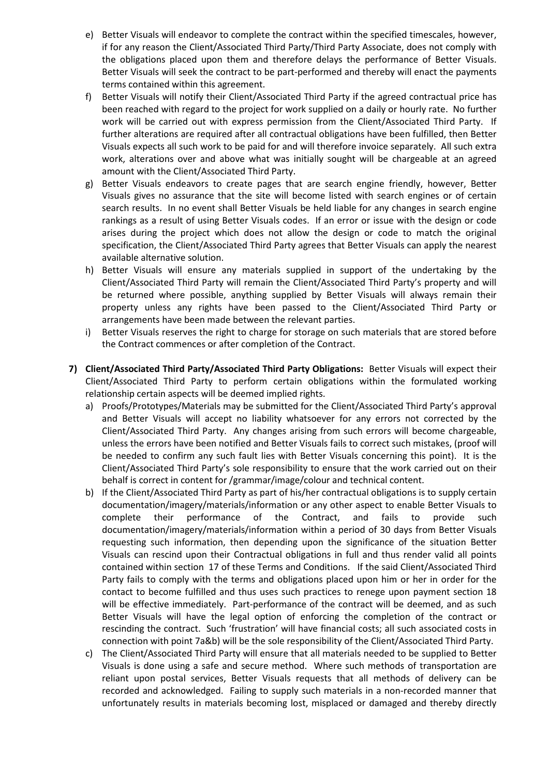- e) Better Visuals will endeavor to complete the contract within the specified timescales, however, if for any reason the Client/Associated Third Party/Third Party Associate, does not comply with the obligations placed upon them and therefore delays the performance of Better Visuals. Better Visuals will seek the contract to be part-performed and thereby will enact the payments terms contained within this agreement.
- f) Better Visuals will notify their Client/Associated Third Party if the agreed contractual price has been reached with regard to the project for work supplied on a daily or hourly rate. No further work will be carried out with express permission from the Client/Associated Third Party. If further alterations are required after all contractual obligations have been fulfilled, then Better Visuals expects all such work to be paid for and will therefore invoice separately. All such extra work, alterations over and above what was initially sought will be chargeable at an agreed amount with the Client/Associated Third Party.
- g) Better Visuals endeavors to create pages that are search engine friendly, however, Better Visuals gives no assurance that the site will become listed with search engines or of certain search results. In no event shall Better Visuals be held liable for any changes in search engine rankings as a result of using Better Visuals codes. If an error or issue with the design or code arises during the project which does not allow the design or code to match the original specification, the Client/Associated Third Party agrees that Better Visuals can apply the nearest available alternative solution.
- h) Better Visuals will ensure any materials supplied in support of the undertaking by the Client/Associated Third Party will remain the Client/Associated Third Party's property and will be returned where possible, anything supplied by Better Visuals will always remain their property unless any rights have been passed to the Client/Associated Third Party or arrangements have been made between the relevant parties.
- i) Better Visuals reserves the right to charge for storage on such materials that are stored before the Contract commences or after completion of the Contract.
- **7) Client/Associated Third Party/Associated Third Party Obligations:** Better Visuals will expect their Client/Associated Third Party to perform certain obligations within the formulated working relationship certain aspects will be deemed implied rights.
	- a) Proofs/Prototypes/Materials may be submitted for the Client/Associated Third Party's approval and Better Visuals will accept no liability whatsoever for any errors not corrected by the Client/Associated Third Party. Any changes arising from such errors will become chargeable, unless the errors have been notified and Better Visuals fails to correct such mistakes, (proof will be needed to confirm any such fault lies with Better Visuals concerning this point). It is the Client/Associated Third Party's sole responsibility to ensure that the work carried out on their behalf is correct in content for /grammar/image/colour and technical content.
	- b) If the Client/Associated Third Party as part of his/her contractual obligations is to supply certain documentation/imagery/materials/information or any other aspect to enable Better Visuals to complete their performance of the Contract, and fails to provide such documentation/imagery/materials/information within a period of 30 days from Better Visuals requesting such information, then depending upon the significance of the situation Better Visuals can rescind upon their Contractual obligations in full and thus render valid all points contained within section 17 of these Terms and Conditions. If the said Client/Associated Third Party fails to comply with the terms and obligations placed upon him or her in order for the contact to become fulfilled and thus uses such practices to renege upon payment section 18 will be effective immediately. Part-performance of the contract will be deemed, and as such Better Visuals will have the legal option of enforcing the completion of the contract or rescinding the contract. Such 'frustration' will have financial costs; all such associated costs in connection with point 7a&b) will be the sole responsibility of the Client/Associated Third Party.
	- c) The Client/Associated Third Party will ensure that all materials needed to be supplied to Better Visuals is done using a safe and secure method. Where such methods of transportation are reliant upon postal services, Better Visuals requests that all methods of delivery can be recorded and acknowledged. Failing to supply such materials in a non-recorded manner that unfortunately results in materials becoming lost, misplaced or damaged and thereby directly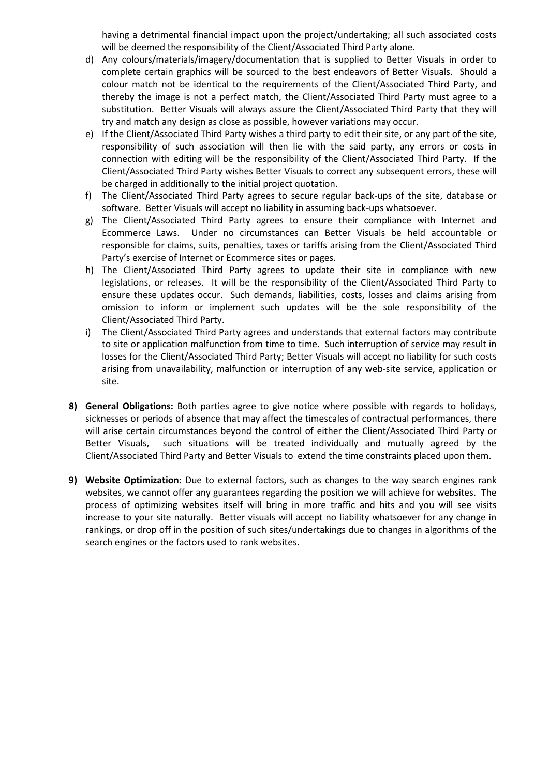having a detrimental financial impact upon the project/undertaking; all such associated costs will be deemed the responsibility of the Client/Associated Third Party alone.

- d) Any colours/materials/imagery/documentation that is supplied to Better Visuals in order to complete certain graphics will be sourced to the best endeavors of Better Visuals. Should a colour match not be identical to the requirements of the Client/Associated Third Party, and thereby the image is not a perfect match, the Client/Associated Third Party must agree to a substitution. Better Visuals will always assure the Client/Associated Third Party that they will try and match any design as close as possible, however variations may occur.
- e) If the Client/Associated Third Party wishes a third party to edit their site, or any part of the site, responsibility of such association will then lie with the said party, any errors or costs in connection with editing will be the responsibility of the Client/Associated Third Party. If the Client/Associated Third Party wishes Better Visuals to correct any subsequent errors, these will be charged in additionally to the initial project quotation.
- f) The Client/Associated Third Party agrees to secure regular back-ups of the site, database or software. Better Visuals will accept no liability in assuming back-ups whatsoever.
- g) The Client/Associated Third Party agrees to ensure their compliance with Internet and Ecommerce Laws. Under no circumstances can Better Visuals be held accountable or responsible for claims, suits, penalties, taxes or tariffs arising from the Client/Associated Third Party's exercise of Internet or Ecommerce sites or pages.
- h) The Client/Associated Third Party agrees to update their site in compliance with new legislations, or releases. It will be the responsibility of the Client/Associated Third Party to ensure these updates occur. Such demands, liabilities, costs, losses and claims arising from omission to inform or implement such updates will be the sole responsibility of the Client/Associated Third Party.
- i) The Client/Associated Third Party agrees and understands that external factors may contribute to site or application malfunction from time to time. Such interruption of service may result in losses for the Client/Associated Third Party; Better Visuals will accept no liability for such costs arising from unavailability, malfunction or interruption of any web-site service, application or site.
- **8) General Obligations:** Both parties agree to give notice where possible with regards to holidays, sicknesses or periods of absence that may affect the timescales of contractual performances, there will arise certain circumstances beyond the control of either the Client/Associated Third Party or Better Visuals, such situations will be treated individually and mutually agreed by the Client/Associated Third Party and Better Visuals to extend the time constraints placed upon them.
- **9) Website Optimization:** Due to external factors, such as changes to the way search engines rank websites, we cannot offer any guarantees regarding the position we will achieve for websites. The process of optimizing websites itself will bring in more traffic and hits and you will see visits increase to your site naturally. Better visuals will accept no liability whatsoever for any change in rankings, or drop off in the position of such sites/undertakings due to changes in algorithms of the search engines or the factors used to rank websites.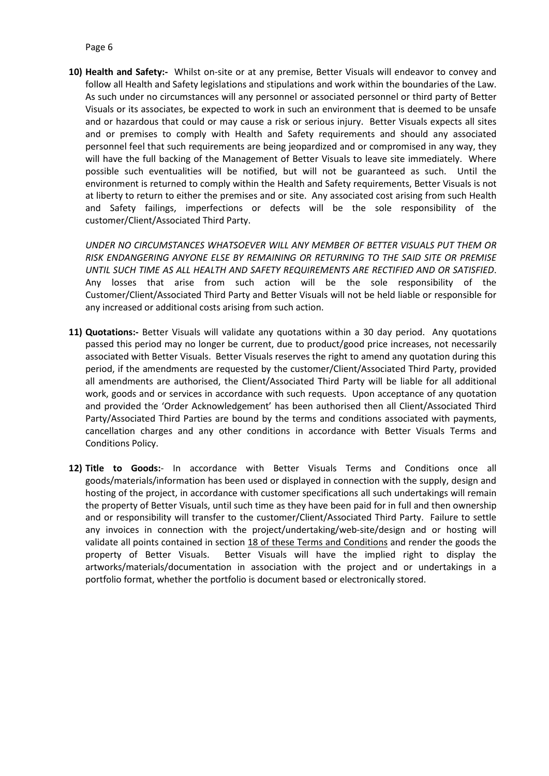## Page 6

**10) Health and Safety:-** Whilst on-site or at any premise, Better Visuals will endeavor to convey and follow all Health and Safety legislations and stipulations and work within the boundaries of the Law. As such under no circumstances will any personnel or associated personnel or third party of Better Visuals or its associates, be expected to work in such an environment that is deemed to be unsafe and or hazardous that could or may cause a risk or serious injury. Better Visuals expects all sites and or premises to comply with Health and Safety requirements and should any associated personnel feel that such requirements are being jeopardized and or compromised in any way, they will have the full backing of the Management of Better Visuals to leave site immediately. Where possible such eventualities will be notified, but will not be guaranteed as such. Until the environment is returned to comply within the Health and Safety requirements, Better Visuals is not at liberty to return to either the premises and or site. Any associated cost arising from such Health and Safety failings, imperfections or defects will be the sole responsibility of the customer/Client/Associated Third Party.

*UNDER NO CIRCUMSTANCES WHATSOEVER WILL ANY MEMBER OF BETTER VISUALS PUT THEM OR RISK ENDANGERING ANYONE ELSE BY REMAINING OR RETURNING TO THE SAID SITE OR PREMISE UNTIL SUCH TIME AS ALL HEALTH AND SAFETY REQUIREMENTS ARE RECTIFIED AND OR SATISFIED*. Any losses that arise from such action will be the sole responsibility of the Customer/Client/Associated Third Party and Better Visuals will not be held liable or responsible for any increased or additional costs arising from such action.

- **11) Quotations:-** Better Visuals will validate any quotations within a 30 day period. Any quotations passed this period may no longer be current, due to product/good price increases, not necessarily associated with Better Visuals. Better Visuals reserves the right to amend any quotation during this period, if the amendments are requested by the customer/Client/Associated Third Party, provided all amendments are authorised, the Client/Associated Third Party will be liable for all additional work, goods and or services in accordance with such requests. Upon acceptance of any quotation and provided the 'Order Acknowledgement' has been authorised then all Client/Associated Third Party/Associated Third Parties are bound by the terms and conditions associated with payments, cancellation charges and any other conditions in accordance with Better Visuals Terms and Conditions Policy.
- **12) Title to Goods:** In accordance with Better Visuals Terms and Conditions once all goods/materials/information has been used or displayed in connection with the supply, design and hosting of the project, in accordance with customer specifications all such undertakings will remain the property of Better Visuals, until such time as they have been paid for in full and then ownership and or responsibility will transfer to the customer/Client/Associated Third Party. Failure to settle any invoices in connection with the project/undertaking/web-site/design and or hosting will validate all points contained in section 18 of these Terms and Conditions and render the goods the property of Better Visuals. Better Visuals will have the implied right to display the artworks/materials/documentation in association with the project and or undertakings in a portfolio format, whether the portfolio is document based or electronically stored.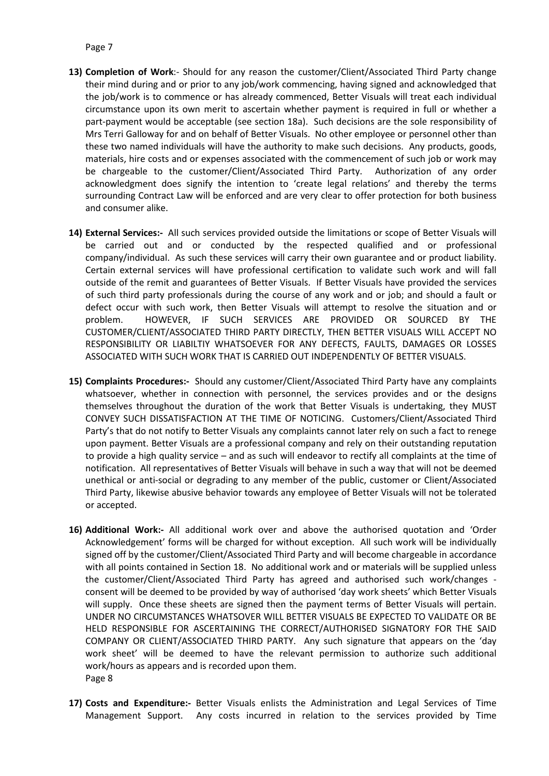- **13) Completion of Work**:- Should for any reason the customer/Client/Associated Third Party change their mind during and or prior to any job/work commencing, having signed and acknowledged that the job/work is to commence or has already commenced, Better Visuals will treat each individual circumstance upon its own merit to ascertain whether payment is required in full or whether a part-payment would be acceptable (see section 18a). Such decisions are the sole responsibility of Mrs Terri Galloway for and on behalf of Better Visuals. No other employee or personnel other than these two named individuals will have the authority to make such decisions. Any products, goods, materials, hire costs and or expenses associated with the commencement of such job or work may be chargeable to the customer/Client/Associated Third Party. Authorization of any order acknowledgment does signify the intention to 'create legal relations' and thereby the terms surrounding Contract Law will be enforced and are very clear to offer protection for both business and consumer alike.
- **14) External Services:-** All such services provided outside the limitations or scope of Better Visuals will be carried out and or conducted by the respected qualified and or professional company/individual. As such these services will carry their own guarantee and or product liability. Certain external services will have professional certification to validate such work and will fall outside of the remit and guarantees of Better Visuals. If Better Visuals have provided the services of such third party professionals during the course of any work and or job; and should a fault or defect occur with such work, then Better Visuals will attempt to resolve the situation and or problem. HOWEVER, IF SUCH SERVICES ARE PROVIDED OR SOURCED BY THE CUSTOMER/CLIENT/ASSOCIATED THIRD PARTY DIRECTLY, THEN BETTER VISUALS WILL ACCEPT NO RESPONSIBILITY OR LIABILTIY WHATSOEVER FOR ANY DEFECTS, FAULTS, DAMAGES OR LOSSES ASSOCIATED WITH SUCH WORK THAT IS CARRIED OUT INDEPENDENTLY OF BETTER VISUALS.
- **15) Complaints Procedures:-** Should any customer/Client/Associated Third Party have any complaints whatsoever, whether in connection with personnel, the services provides and or the designs themselves throughout the duration of the work that Better Visuals is undertaking, they MUST CONVEY SUCH DISSATISFACTION AT THE TIME OF NOTICING. Customers/Client/Associated Third Party's that do not notify to Better Visuals any complaints cannot later rely on such a fact to renege upon payment. Better Visuals are a professional company and rely on their outstanding reputation to provide a high quality service – and as such will endeavor to rectify all complaints at the time of notification. All representatives of Better Visuals will behave in such a way that will not be deemed unethical or anti-social or degrading to any member of the public, customer or Client/Associated Third Party, likewise abusive behavior towards any employee of Better Visuals will not be tolerated or accepted.
- **16) Additional Work:-** All additional work over and above the authorised quotation and 'Order Acknowledgement' forms will be charged for without exception. All such work will be individually signed off by the customer/Client/Associated Third Party and will become chargeable in accordance with all points contained in Section 18. No additional work and or materials will be supplied unless the customer/Client/Associated Third Party has agreed and authorised such work/changes consent will be deemed to be provided by way of authorised 'day work sheets' which Better Visuals will supply. Once these sheets are signed then the payment terms of Better Visuals will pertain. UNDER NO CIRCUMSTANCES WHATSOVER WILL BETTER VISUALS BE EXPECTED TO VALIDATE OR BE HELD RESPONSIBLE FOR ASCERTAINING THE CORRECT/AUTHORISED SIGNATORY FOR THE SAID COMPANY OR CLIENT/ASSOCIATED THIRD PARTY. Any such signature that appears on the 'day work sheet' will be deemed to have the relevant permission to authorize such additional work/hours as appears and is recorded upon them. Page 8
- **17) Costs and Expenditure:-** Better Visuals enlists the Administration and Legal Services of Time Management Support. Any costs incurred in relation to the services provided by Time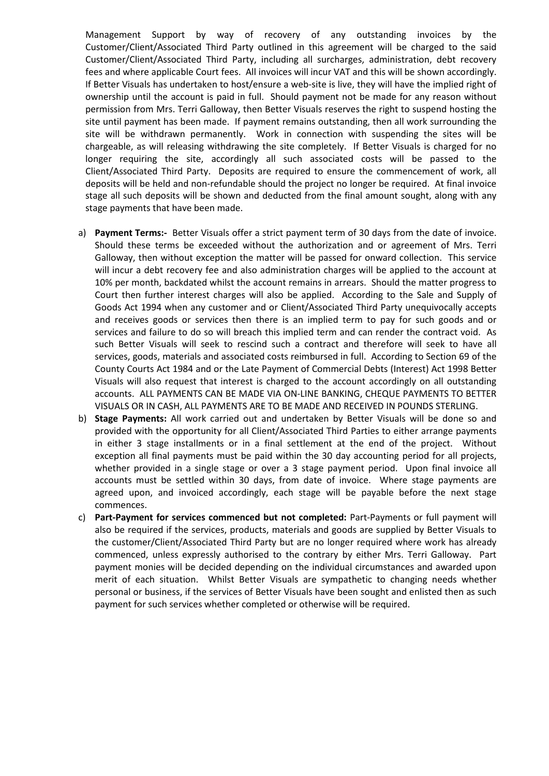Management Support by way of recovery of any outstanding invoices by the Customer/Client/Associated Third Party outlined in this agreement will be charged to the said Customer/Client/Associated Third Party, including all surcharges, administration, debt recovery fees and where applicable Court fees. All invoices will incur VAT and this will be shown accordingly. If Better Visuals has undertaken to host/ensure a web-site is live, they will have the implied right of ownership until the account is paid in full. Should payment not be made for any reason without permission from Mrs. Terri Galloway, then Better Visuals reserves the right to suspend hosting the site until payment has been made. If payment remains outstanding, then all work surrounding the site will be withdrawn permanently. Work in connection with suspending the sites will be chargeable, as will releasing withdrawing the site completely. If Better Visuals is charged for no longer requiring the site, accordingly all such associated costs will be passed to the Client/Associated Third Party. Deposits are required to ensure the commencement of work, all deposits will be held and non-refundable should the project no longer be required. At final invoice stage all such deposits will be shown and deducted from the final amount sought, along with any stage payments that have been made.

- a) **Payment Terms:-** Better Visuals offer a strict payment term of 30 days from the date of invoice. Should these terms be exceeded without the authorization and or agreement of Mrs. Terri Galloway, then without exception the matter will be passed for onward collection. This service will incur a debt recovery fee and also administration charges will be applied to the account at 10% per month, backdated whilst the account remains in arrears. Should the matter progress to Court then further interest charges will also be applied. According to the Sale and Supply of Goods Act 1994 when any customer and or Client/Associated Third Party unequivocally accepts and receives goods or services then there is an implied term to pay for such goods and or services and failure to do so will breach this implied term and can render the contract void. As such Better Visuals will seek to rescind such a contract and therefore will seek to have all services, goods, materials and associated costs reimbursed in full. According to Section 69 of the County Courts Act 1984 and or the Late Payment of Commercial Debts (Interest) Act 1998 Better Visuals will also request that interest is charged to the account accordingly on all outstanding accounts. ALL PAYMENTS CAN BE MADE VIA ON-LINE BANKING, CHEQUE PAYMENTS TO BETTER VISUALS OR IN CASH, ALL PAYMENTS ARE TO BE MADE AND RECEIVED IN POUNDS STERLING.
- b) **Stage Payments:** All work carried out and undertaken by Better Visuals will be done so and provided with the opportunity for all Client/Associated Third Parties to either arrange payments in either 3 stage installments or in a final settlement at the end of the project. Without exception all final payments must be paid within the 30 day accounting period for all projects, whether provided in a single stage or over a 3 stage payment period. Upon final invoice all accounts must be settled within 30 days, from date of invoice. Where stage payments are agreed upon, and invoiced accordingly, each stage will be payable before the next stage commences.
- c) **Part-Payment for services commenced but not completed:** Part-Payments or full payment will also be required if the services, products, materials and goods are supplied by Better Visuals to the customer/Client/Associated Third Party but are no longer required where work has already commenced, unless expressly authorised to the contrary by either Mrs. Terri Galloway. Part payment monies will be decided depending on the individual circumstances and awarded upon merit of each situation. Whilst Better Visuals are sympathetic to changing needs whether personal or business, if the services of Better Visuals have been sought and enlisted then as such payment for such services whether completed or otherwise will be required.